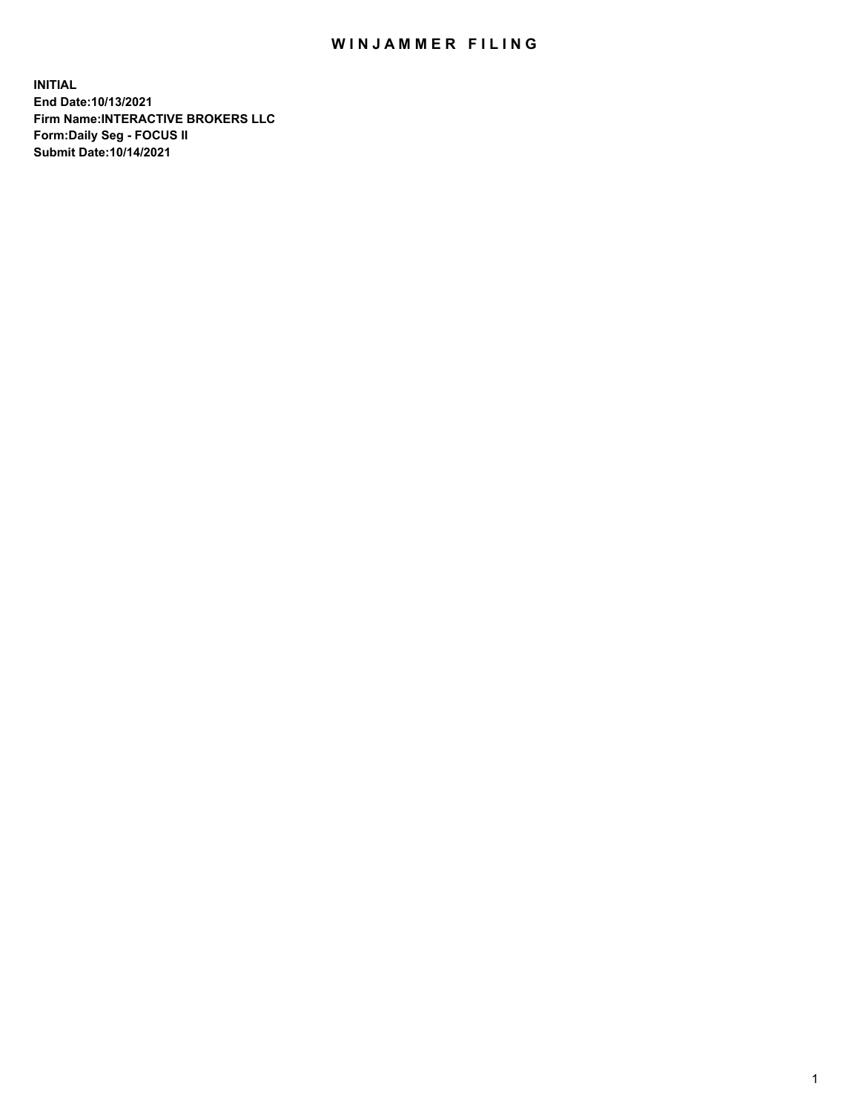## WIN JAMMER FILING

**INITIAL End Date:10/13/2021 Firm Name:INTERACTIVE BROKERS LLC Form:Daily Seg - FOCUS II Submit Date:10/14/2021**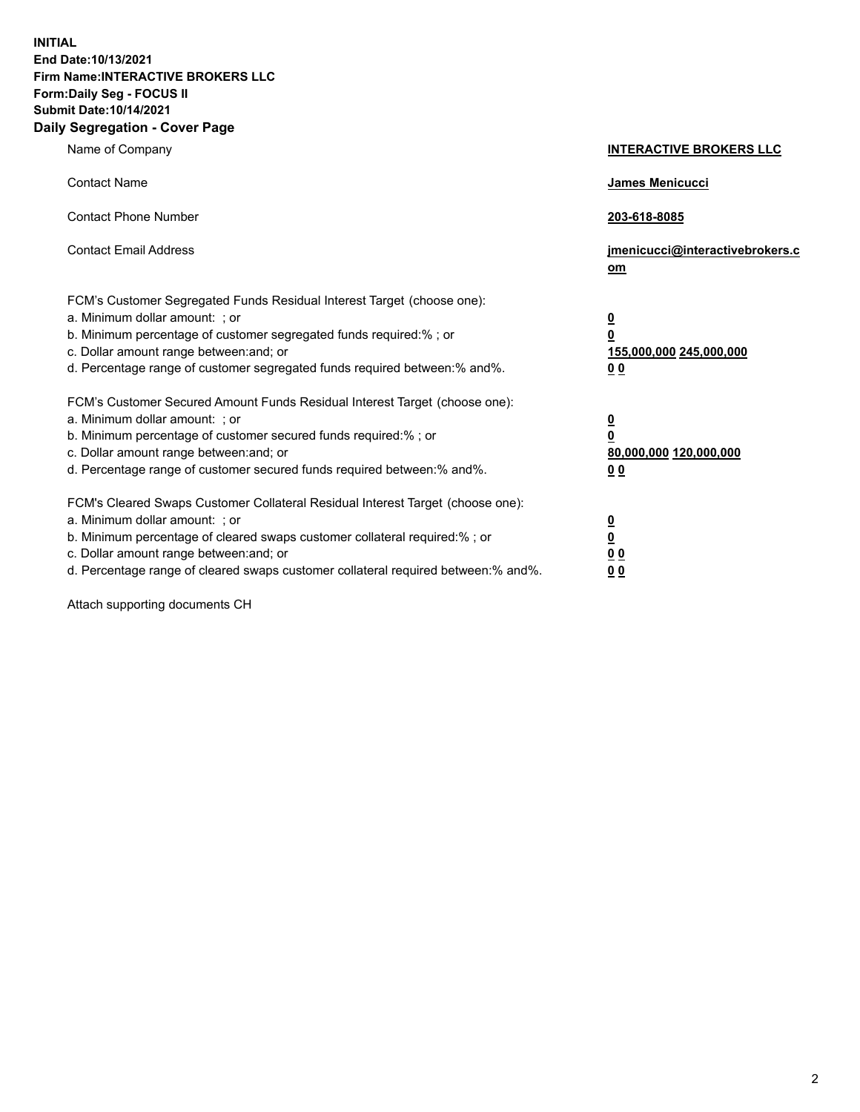**INITIAL End Date:10/13/2021 Firm Name:INTERACTIVE BROKERS LLC Form:Daily Seg - FOCUS II Submit Date:10/14/2021 Daily Segregation - Cover Page**

| Name of Company                                                                                                                                                                                                                                                                                                                | <b>INTERACTIVE BROKERS LLC</b>                                                                           |
|--------------------------------------------------------------------------------------------------------------------------------------------------------------------------------------------------------------------------------------------------------------------------------------------------------------------------------|----------------------------------------------------------------------------------------------------------|
| <b>Contact Name</b>                                                                                                                                                                                                                                                                                                            | James Menicucci                                                                                          |
| <b>Contact Phone Number</b>                                                                                                                                                                                                                                                                                                    | 203-618-8085                                                                                             |
| <b>Contact Email Address</b>                                                                                                                                                                                                                                                                                                   | jmenicucci@interactivebrokers.c<br>om                                                                    |
| FCM's Customer Segregated Funds Residual Interest Target (choose one):<br>a. Minimum dollar amount: ; or<br>b. Minimum percentage of customer segregated funds required:% ; or<br>c. Dollar amount range between: and; or<br>d. Percentage range of customer segregated funds required between:% and%.                         | $\overline{\mathbf{0}}$<br>$\overline{\mathbf{0}}$<br>155,000,000 245,000,000<br>0 <sub>0</sub>          |
| FCM's Customer Secured Amount Funds Residual Interest Target (choose one):<br>a. Minimum dollar amount: ; or<br>b. Minimum percentage of customer secured funds required:%; or<br>c. Dollar amount range between: and; or<br>d. Percentage range of customer secured funds required between:% and%.                            | $\overline{\mathbf{0}}$<br>$\overline{\mathbf{0}}$<br>80,000,000 120,000,000<br>00                       |
| FCM's Cleared Swaps Customer Collateral Residual Interest Target (choose one):<br>a. Minimum dollar amount: ; or<br>b. Minimum percentage of cleared swaps customer collateral required:% ; or<br>c. Dollar amount range between: and; or<br>d. Percentage range of cleared swaps customer collateral required between:% and%. | $\overline{\mathbf{0}}$<br>$\underline{\mathbf{0}}$<br>$\underline{0}$ $\underline{0}$<br>0 <sub>0</sub> |

Attach supporting documents CH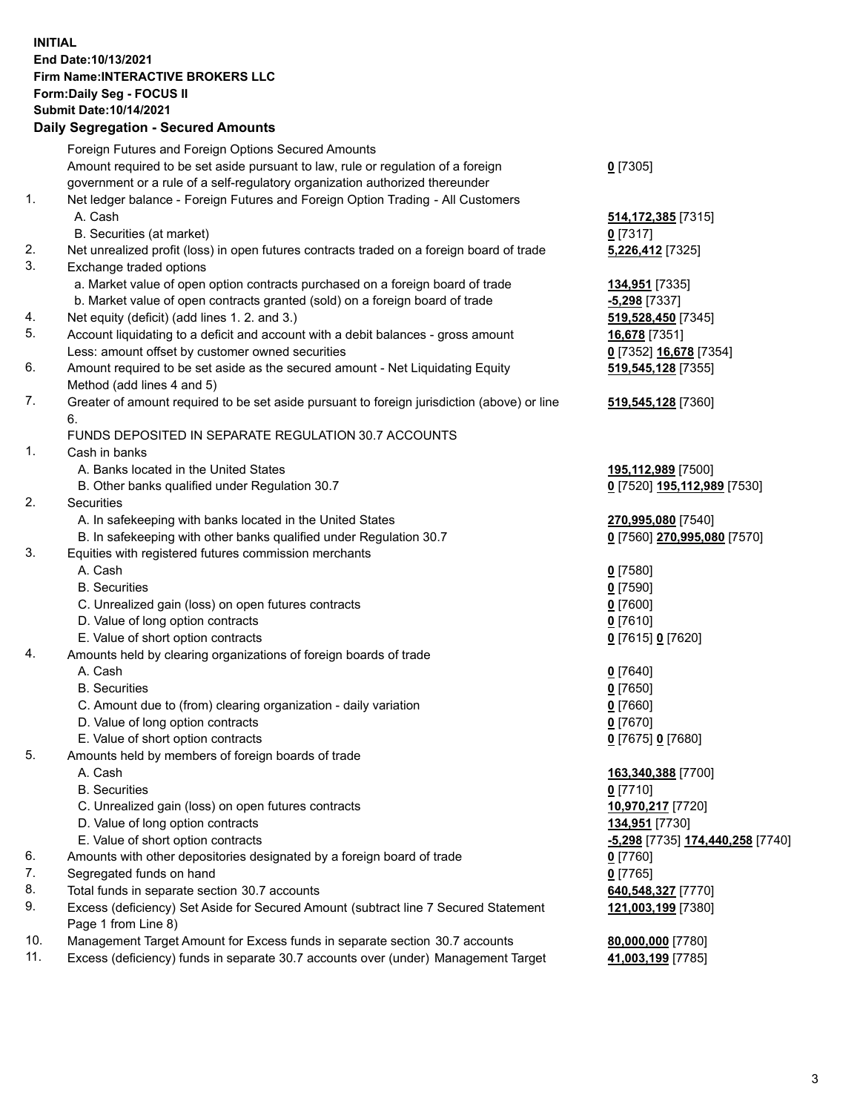## **INITIAL End Date:10/13/2021 Firm Name:INTERACTIVE BROKERS LLC Form:Daily Seg - FOCUS II Submit Date:10/14/2021 Daily Segregation - Secured Amounts**

|     | Dally Segregation - Secured Amounts                                                         |                                  |
|-----|---------------------------------------------------------------------------------------------|----------------------------------|
|     | Foreign Futures and Foreign Options Secured Amounts                                         |                                  |
|     | Amount required to be set aside pursuant to law, rule or regulation of a foreign            | $0$ [7305]                       |
|     | government or a rule of a self-regulatory organization authorized thereunder                |                                  |
| 1.  | Net ledger balance - Foreign Futures and Foreign Option Trading - All Customers             |                                  |
|     | A. Cash                                                                                     | 514, 172, 385 [7315]             |
|     | B. Securities (at market)                                                                   | $0$ [7317]                       |
| 2.  | Net unrealized profit (loss) in open futures contracts traded on a foreign board of trade   | 5,226,412 [7325]                 |
| 3.  | Exchange traded options                                                                     |                                  |
|     | a. Market value of open option contracts purchased on a foreign board of trade              | 134,951 [7335]                   |
|     | b. Market value of open contracts granted (sold) on a foreign board of trade                | $-5,298$ [7337]                  |
| 4.  | Net equity (deficit) (add lines 1. 2. and 3.)                                               | 519,528,450 [7345]               |
| 5.  | Account liquidating to a deficit and account with a debit balances - gross amount           | 16,678 [7351]                    |
|     | Less: amount offset by customer owned securities                                            | 0 [7352] 16,678 [7354]           |
| 6.  | Amount required to be set aside as the secured amount - Net Liquidating Equity              | 519, 545, 128 [7355]             |
|     | Method (add lines 4 and 5)                                                                  |                                  |
| 7.  | Greater of amount required to be set aside pursuant to foreign jurisdiction (above) or line | 519, 545, 128 [7360]             |
|     | 6.                                                                                          |                                  |
|     | FUNDS DEPOSITED IN SEPARATE REGULATION 30.7 ACCOUNTS                                        |                                  |
| 1.  | Cash in banks                                                                               |                                  |
|     | A. Banks located in the United States                                                       | 195,112,989 [7500]               |
|     | B. Other banks qualified under Regulation 30.7                                              | 0 [7520] 195,112,989 [7530]      |
| 2.  | <b>Securities</b>                                                                           |                                  |
|     | A. In safekeeping with banks located in the United States                                   | 270,995,080 [7540]               |
|     | B. In safekeeping with other banks qualified under Regulation 30.7                          | 0 [7560] 270,995,080 [7570]      |
| 3.  | Equities with registered futures commission merchants                                       |                                  |
|     | A. Cash                                                                                     | $0$ [7580]                       |
|     | <b>B.</b> Securities                                                                        | $0$ [7590]                       |
|     | C. Unrealized gain (loss) on open futures contracts                                         | $0$ [7600]                       |
|     | D. Value of long option contracts                                                           | $0$ [7610]                       |
|     | E. Value of short option contracts                                                          | 0 [7615] 0 [7620]                |
| 4.  | Amounts held by clearing organizations of foreign boards of trade                           |                                  |
|     | A. Cash                                                                                     | $0$ [7640]                       |
|     | <b>B.</b> Securities                                                                        | $0$ [7650]                       |
|     | C. Amount due to (from) clearing organization - daily variation                             | $0$ [7660]                       |
|     | D. Value of long option contracts                                                           | $0$ [7670]                       |
|     | E. Value of short option contracts                                                          | 0 [7675] 0 [7680]                |
| 5.  | Amounts held by members of foreign boards of trade                                          |                                  |
|     | A. Cash                                                                                     | 163,340,388 [7700]               |
|     | <b>B.</b> Securities                                                                        | $0$ [7710]                       |
|     | C. Unrealized gain (loss) on open futures contracts                                         | 10,970,217 [7720]                |
|     | D. Value of long option contracts                                                           | 134,951 [7730]                   |
|     | E. Value of short option contracts                                                          | -5,298 [7735] 174,440,258 [7740] |
| 6.  | Amounts with other depositories designated by a foreign board of trade                      | $0$ [7760]                       |
| 7.  | Segregated funds on hand                                                                    | $0$ [7765]                       |
| 8.  | Total funds in separate section 30.7 accounts                                               | 640, 548, 327 [7770]             |
| 9.  | Excess (deficiency) Set Aside for Secured Amount (subtract line 7 Secured Statement         | 121,003,199 [7380]               |
|     | Page 1 from Line 8)                                                                         |                                  |
| 10. | Management Target Amount for Excess funds in separate section 30.7 accounts                 | 80,000,000 [7780]                |
| 11. | Excess (deficiency) funds in separate 30.7 accounts over (under) Management Target          | 41,003,199 [7785]                |
|     |                                                                                             |                                  |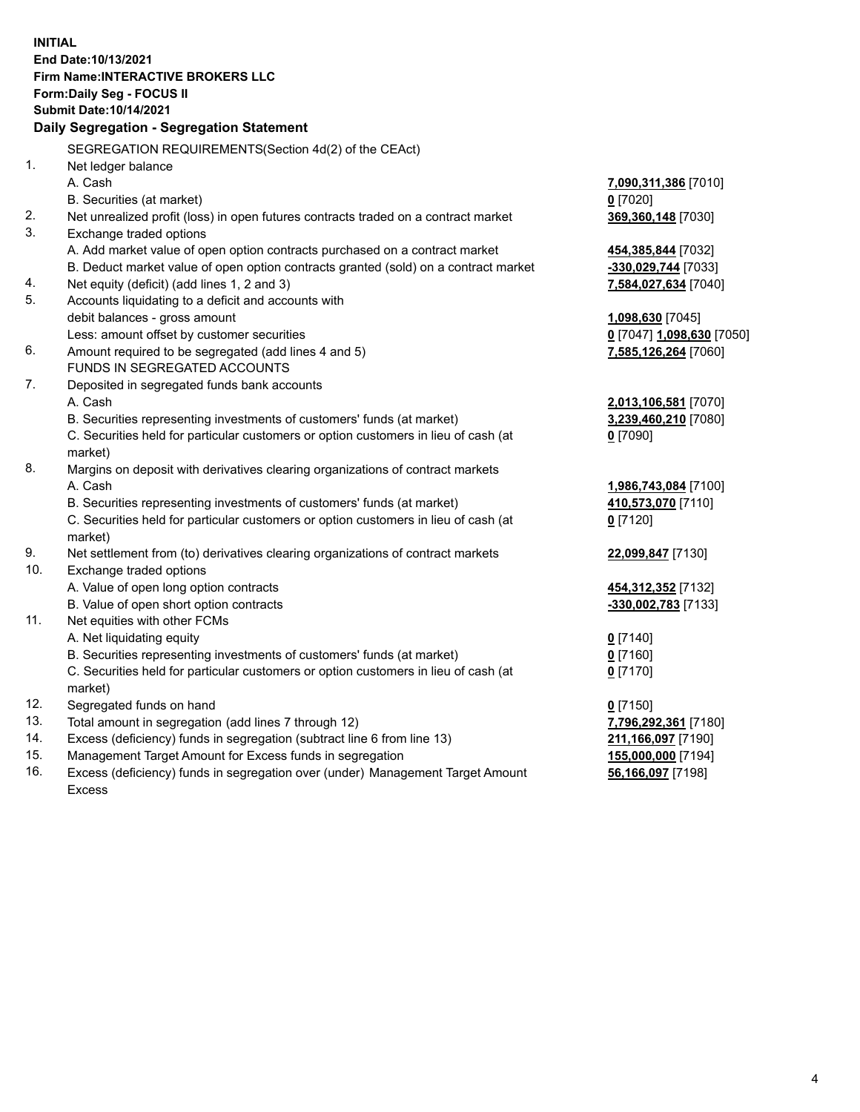**INITIAL End Date:10/13/2021 Firm Name:INTERACTIVE BROKERS LLC Form:Daily Seg - FOCUS II Submit Date:10/14/2021 Daily Segregation - Segregation Statement** SEGREGATION REQUIREMENTS(Section 4d(2) of the CEAct) 1. Net ledger balance A. Cash **7,090,311,386** [7010] B. Securities (at market) **0** [7020] 2. Net unrealized profit (loss) in open futures contracts traded on a contract market **369,360,148** [7030] 3. Exchange traded options A. Add market value of open option contracts purchased on a contract market **454,385,844** [7032] B. Deduct market value of open option contracts granted (sold) on a contract market **-330,029,744** [7033] 4. Net equity (deficit) (add lines 1, 2 and 3) **7,584,027,634** [7040] 5. Accounts liquidating to a deficit and accounts with debit balances - gross amount **1,098,630** [7045] Less: amount offset by customer securities **0** [7047] **1,098,630** [7050] 6. Amount required to be segregated (add lines 4 and 5) **7,585,126,264** [7060] FUNDS IN SEGREGATED ACCOUNTS 7. Deposited in segregated funds bank accounts A. Cash **2,013,106,581** [7070] B. Securities representing investments of customers' funds (at market) **3,239,460,210** [7080] C. Securities held for particular customers or option customers in lieu of cash (at market) **0** [7090] 8. Margins on deposit with derivatives clearing organizations of contract markets A. Cash **1,986,743,084** [7100] B. Securities representing investments of customers' funds (at market) **410,573,070** [7110] C. Securities held for particular customers or option customers in lieu of cash (at market) **0** [7120] 9. Net settlement from (to) derivatives clearing organizations of contract markets **22,099,847** [7130] 10. Exchange traded options A. Value of open long option contracts **454,312,352** [7132] B. Value of open short option contracts **-330,002,783** [7133] 11. Net equities with other FCMs A. Net liquidating equity **0** [7140] B. Securities representing investments of customers' funds (at market) **0** [7160] C. Securities held for particular customers or option customers in lieu of cash (at market) **0** [7170] 12. Segregated funds on hand **0** [7150] 13. Total amount in segregation (add lines 7 through 12) **7,796,292,361** [7180] 14. Excess (deficiency) funds in segregation (subtract line 6 from line 13) **211,166,097** [7190] 15. Management Target Amount for Excess funds in segregation **155,000,000** [7194] 16. Excess (deficiency) funds in segregation over (under) Management Target Amount **56,166,097** [7198]

Excess